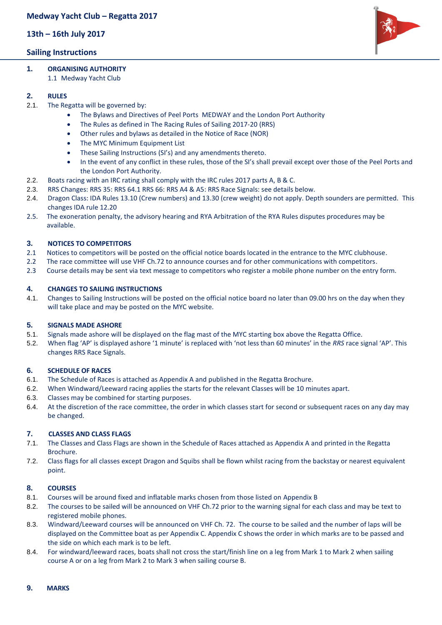**13th – 16th July 2017**

# **Sailing Instructions**

- **1. ORGANISING AUTHORITY**
	- 1.1 Medway Yacht Club

# **2. RULES**

- 2.1. The Regatta will be governed by:
	- The Bylaws and Directives of Peel Ports MEDWAY and the London Port Authority
		- The Rules as defined in The Racing Rules of Sailing 2017-20 (RRS)
		- Other rules and bylaws as detailed in the Notice of Race (NOR)
		- The MYC Minimum Equipment List
		- These Sailing Instructions (SI's) and any amendments thereto.
		- In the event of any conflict in these rules, those of the SI's shall prevail except over those of the Peel Ports and the London Port Authority.
- 2.2. Boats racing with an IRC rating shall comply with the IRC rules 2017 parts A, B & C.
- 2.3. RRS Changes: RRS 35: RRS 64.1 RRS 66: RRS A4 & A5: RRS Race Signals: see details below.
- 2.4. Dragon Class: IDA Rules 13.10 (Crew numbers) and 13.30 (crew weight) do not apply. Depth sounders are permitted. This changes IDA rule 12.20
- 2.5. The exoneration penalty, the advisory hearing and RYA Arbitration of the RYA Rules disputes procedures may be available.

## **3. NOTICES TO COMPETITORS**

- 2.1 Notices to competitors will be posted on the official notice boards located in the entrance to the MYC clubhouse.
- 2.2 The race committee will use VHF Ch.72 to announce courses and for other communications with competitors.
- 2.3 Course details may be sent via text message to competitors who register a mobile phone number on the entry form.

## **4. CHANGES TO SAILING INSTRUCTIONS**

4.1. Changes to Sailing Instructions will be posted on the official notice board no later than 09.00 hrs on the day when they will take place and may be posted on the MYC website.

## **5. SIGNALS MADE ASHORE**

- 5.1. Signals made ashore will be displayed on the flag mast of the MYC starting box above the Regatta Office.
- 5.2. When flag 'AP' is displayed ashore '1 minute' is replaced with 'not less than 60 minutes' in the *RRS* race signal 'AP'. This changes RRS Race Signals.

## **6. SCHEDULE OF RACES**

- 6.1. The Schedule of Races is attached as Appendix A and published in the Regatta Brochure.
- 6.2. When Windward/Leeward racing applies the starts for the relevant Classes will be 10 minutes apart.
- 6.3. Classes may be combined for starting purposes.
- 6.4. At the discretion of the race committee, the order in which classes start for second or subsequent races on any day may be changed.

## **7. CLASSES AND CLASS FLAGS**

- 7.1. The Classes and Class Flags are shown in the Schedule of Races attached as Appendix A and printed in the Regatta Brochure.
- 7.2. Class flags for all classes except Dragon and Squibs shall be flown whilst racing from the backstay or nearest equivalent point.

#### **8. COURSES**

- 8.1. Courses will be around fixed and inflatable marks chosen from those listed on Appendix B
- 8.2. The courses to be sailed will be announced on VHF Ch.72 prior to the warning signal for each class and may be text to registered mobile phones.
- 8.3. Windward/Leeward courses will be announced on VHF Ch. 72. The course to be sailed and the number of laps will be displayed on the Committee boat as per Appendix C. Appendix C shows the order in which marks are to be passed and the side on which each mark is to be left.
- 8.4. For windward/leeward races, boats shall not cross the start/finish line on a leg from Mark 1 to Mark 2 when sailing course A or on a leg from Mark 2 to Mark 3 when sailing course B.

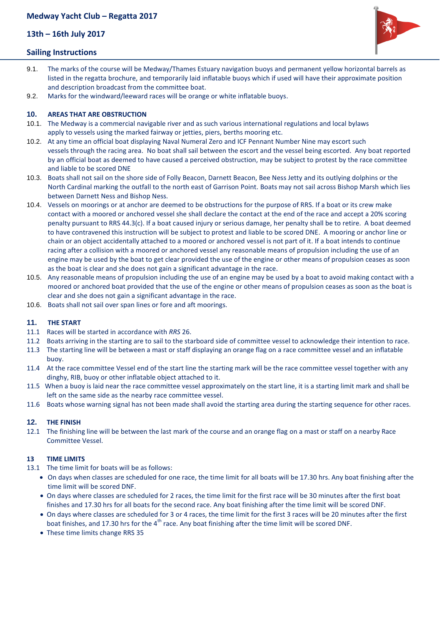**13th – 16th July 2017**

# **Sailing Instructions**

- 9.1. The marks of the course will be Medway/Thames Estuary navigation buoys and permanent yellow horizontal barrels as listed in the regatta brochure, and temporarily laid inflatable buoys which if used will have their approximate position and description broadcast from the committee boat.
- 9.2. Marks for the windward/leeward races will be orange or white inflatable buoys.

## **10. AREAS THAT ARE OBSTRUCTION**

- 10.1. The Medway is a commercial navigable river and as such various international regulations and local bylaws apply to vessels using the marked fairway or jetties, piers, berths mooring etc.
- 10.2. At any time an official boat displaying Naval Numeral Zero and ICF Pennant Number Nine may escort such vessels through the racing area. No boat shall sail between the escort and the vessel being escorted. Any boat reported by an official boat as deemed to have caused a perceived obstruction, may be subject to protest by the race committee and liable to be scored DNE
- 10.3. Boats shall not sail on the shore side of Folly Beacon, Darnett Beacon, Bee Ness Jetty and its outlying dolphins or the North Cardinal marking the outfall to the north east of Garrison Point. Boats may not sail across Bishop Marsh which lies between Darnett Ness and Bishop Ness.
- 10.4. Vessels on moorings or at anchor are deemed to be obstructions for the purpose of RRS. If a boat or its crew make contact with a moored or anchored vessel she shall declare the contact at the end of the race and accept a 20% scoring penalty pursuant to RRS 44.3(c). If a boat caused injury or serious damage, her penalty shall be to retire. A boat deemed to have contravened this instruction will be subject to protest and liable to be scored DNE. A mooring or anchor line or chain or an object accidentally attached to a moored or anchored vessel is not part of it. If a boat intends to continue racing after a collision with a moored or anchored vessel any reasonable means of propulsion including the use of an engine may be used by the boat to get clear provided the use of the engine or other means of propulsion ceases as soon as the boat is clear and she does not gain a significant advantage in the race.
- 10.5. Any reasonable means of propulsion including the use of an engine may be used by a boat to avoid making contact with a moored or anchored boat provided that the use of the engine or other means of propulsion ceases as soon as the boat is clear and she does not gain a significant advantage in the race.
- 10.6. Boats shall not sail over span lines or fore and aft moorings.

#### **11. THE START**

- 11.1 Races will be started in accordance with *RRS* 26.
- 11.2 Boats arriving in the starting are to sail to the starboard side of committee vessel to acknowledge their intention to race.
- 11.3 The starting line will be between a mast or staff displaying an orange flag on a race committee vessel and an inflatable buoy.
- 11.4 At the race committee Vessel end of the start line the starting mark will be the race committee vessel together with any dinghy, RIB, buoy or other inflatable object attached to it.
- 11.5 When a buoy is laid near the race committee vessel approximately on the start line, it is a starting limit mark and shall be left on the same side as the nearby race committee vessel.
- 11.6 Boats whose warning signal has not been made shall avoid the starting area during the starting sequence for other races.

#### **12. THE FINISH**

12.1 The finishing line will be between the last mark of the course and an orange flag on a mast or staff on a nearby Race Committee Vessel.

#### **13 TIME LIMITS**

- 13.1 The time limit for boats will be as follows:
	- On days when classes are scheduled for one race, the time limit for all boats will be 17.30 hrs. Any boat finishing after the time limit will be scored DNF.
	- On days where classes are scheduled for 2 races, the time limit for the first race will be 30 minutes after the first boat finishes and 17.30 hrs for all boats for the second race. Any boat finishing after the time limit will be scored DNF.
	- On days where classes are scheduled for 3 or 4 races, the time limit for the first 3 races will be 20 minutes after the first boat finishes, and 17.30 hrs for the 4<sup>th</sup> race. Any boat finishing after the time limit will be scored DNF.
	- These time limits change RRS 35